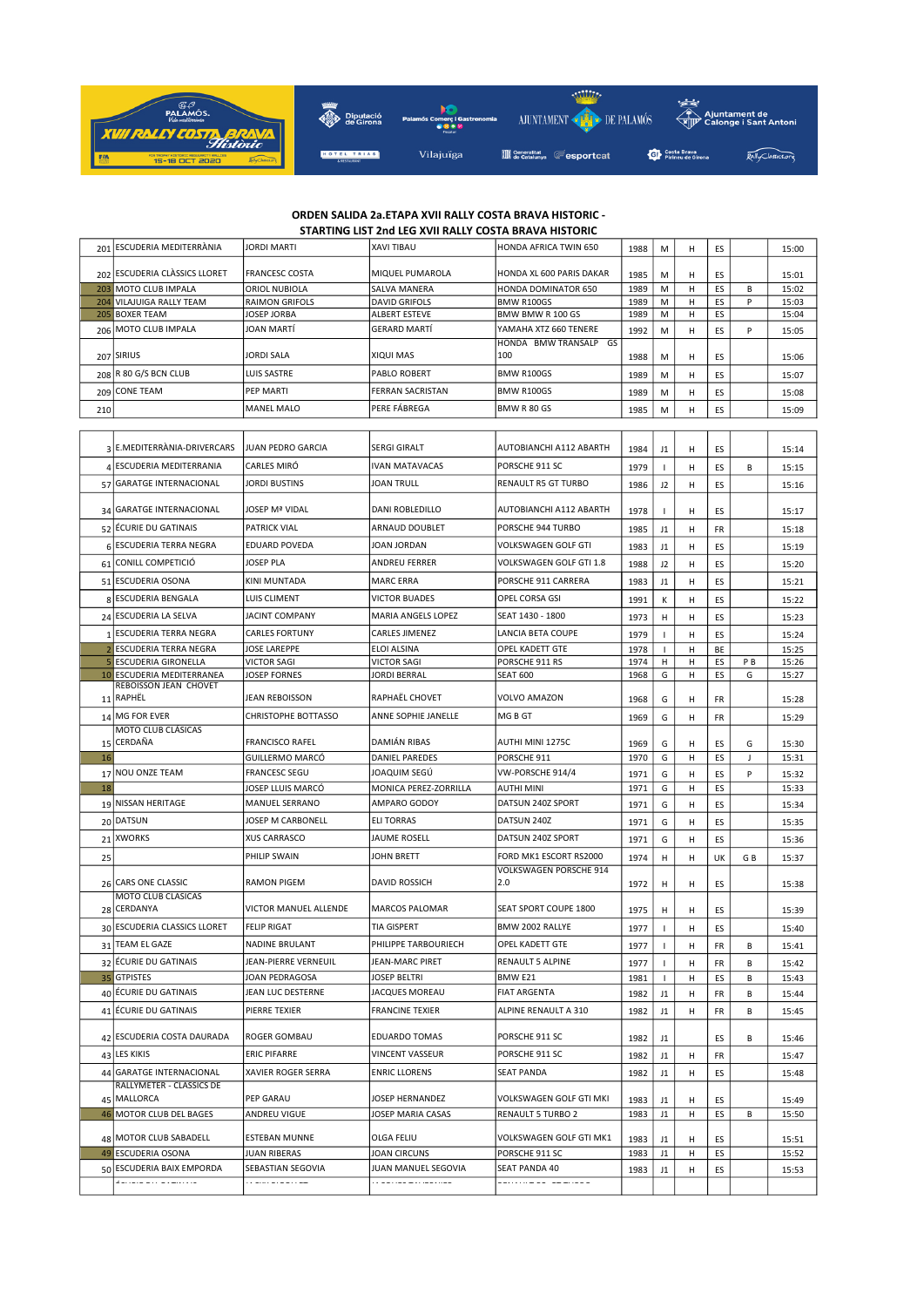

## ORDEN SALIDA 2a.ETAPA XVII RALLY COSTA BRAVA HISTORIC - STARTING LIST 2nd LEG XVII RALLY COSTA BRAVA HISTORIC

|                | ESCUDERIA MEDITERRÀNIA                                      | <b>JORDI MARTI</b>                                                                            | XAVI TIBAU                     | HONDA AFRICA TWIN 650                                   | 1988         | M            | н      | ES        |                | 15:00          |
|----------------|-------------------------------------------------------------|-----------------------------------------------------------------------------------------------|--------------------------------|---------------------------------------------------------|--------------|--------------|--------|-----------|----------------|----------------|
| 201            |                                                             |                                                                                               |                                |                                                         |              |              |        |           |                |                |
|                | 202 ESCUDERIA CLÀSSICS LLORET                               | <b>FRANCESC COSTA</b>                                                                         | MIQUEL PUMAROLA                | HONDA XL 600 PARIS DAKAR                                | 1985         | M            | н      | ES        |                | 15:01          |
|                | 203 MOTO CLUB IMPALA                                        | ORIOL NUBIOLA                                                                                 | SALVA MANERA                   | HONDA DOMINATOR 650                                     | 1989         | M            | н      | ES        | B              | 15:02          |
| 204            | VILAJUIGA RALLY TEAM<br>205 BOXER TEAM                      | <b>RAIMON GRIFOLS</b><br>JOSEP JORBA                                                          | DAVID GRIFOLS<br>ALBERT ESTEVE | BMW R100GS<br>BMW BMW R 100 GS                          | 1989<br>1989 | M<br>М       | н<br>н | ES<br>ES  | P              | 15:03<br>15:04 |
| 206            | MOTO CLUB IMPALA                                            | JOAN MARTI                                                                                    | GERARD MARTÍ                   | YAMAHA XTZ 660 TENERE                                   | 1992         | M            | н      | ES        | P              | 15:05          |
|                |                                                             |                                                                                               |                                | HONDA BMW TRANSALP GS                                   |              |              |        |           |                |                |
|                | 207 SIRIUS                                                  | JORDI SALA                                                                                    | XIQUI MAS                      | 100                                                     | 1988         | м            | н      | ES        |                | 15:06          |
|                | 208 R 80 G/S BCN CLUB                                       | LUIS SASTRE                                                                                   | PABLO ROBERT                   | BMW R100GS                                              | 1989         | M            | н      | ES        |                | 15:07          |
|                | 209 CONE TEAM                                               | PEP MARTI                                                                                     | <b>FERRAN SACRISTAN</b>        | <b>BMW R100GS</b>                                       |              |              | н      | ES        |                |                |
|                |                                                             |                                                                                               | PERE FÁBREGA                   | <b>BMW R 80 GS</b>                                      | 1989         | M            |        |           |                | 15:08          |
| 210            |                                                             | <b>MANEL MALO</b>                                                                             |                                |                                                         | 1985         | M            | н      | ES        |                | 15:09          |
|                |                                                             |                                                                                               |                                |                                                         |              |              |        |           |                |                |
|                | 3 E.MEDITERRÀNIA-DRIVERCARS                                 | <b>JUAN PEDRO GARCIA</b>                                                                      | SERGI GIRALT                   | AUTOBIANCHI A112 ABARTH                                 | 1984         | J1           | н      | ES        |                | 15:14          |
|                | 4 ESCUDERIA MEDITERRANIA                                    | CARLES MIRO                                                                                   | IVAN MATAVACAS                 | PORSCHE 911 SC                                          | 1979         | $\mathsf{I}$ | н      | ES        | В              | 15:15          |
|                | 57 GARATGE INTERNACIONAL                                    | <b>JORDI BUSTINS</b>                                                                          | <b>JOAN TRULL</b>              | RENAULT R5 GT TURBO                                     | 1986         | J2           | н      | ES        |                | 15:16          |
|                |                                                             |                                                                                               |                                |                                                         |              |              |        |           |                |                |
|                | 34   GARATGE INTERNACIONAL                                  | <b>JOSEP Mª VIDAL</b>                                                                         | DANI ROBLEDILLO                | AUTOBIANCHI A112 ABARTH                                 | 1978         | $\mathbf{I}$ | н      | ES        |                | 15:17          |
|                | 52 ÉCURIE DU GATINAIS                                       | <b>PATRICK VIAL</b>                                                                           | ARNAUD DOUBLET                 | PORSCHE 944 TURBO                                       | 1985         | J1           | н      | FR        |                | 15:18          |
| 6 <sup>1</sup> | <b>ESCUDERIA TERRA NEGRA</b>                                | <b>EDUARD POVEDA</b>                                                                          | JOAN JORDAN                    | VOLKSWAGEN GOLF GTI                                     | 1983         | J1           | н      | ES        |                | 15:19          |
|                |                                                             | <b>JOSEP PLA</b>                                                                              |                                |                                                         |              |              |        |           |                |                |
|                | 61 CONILL COMPETICIÓ                                        |                                                                                               | ANDREU FERRER                  | VOLKSWAGEN GOLF GTI 1.8                                 | 1988         | J2           | н      | ES        |                | 15:20          |
|                | 51 ESCUDERIA OSONA                                          | KINI MUNTADA                                                                                  | <b>MARC ERRA</b>               | PORSCHE 911 CARRERA                                     | 1983         | J1           | н      | ES        |                | 15:21          |
|                | 8 ESCUDERIA BENGALA                                         | LUIS CLIMENT                                                                                  | <b>VICTOR BUADES</b>           | OPEL CORSA GSI                                          | 1991         | К            | н      | ES        |                | 15:22          |
|                | 24 ESCUDERIA LA SELVA                                       | <b>JACINT COMPANY</b>                                                                         | MARIA ANGELS LOPEZ             | SEAT 1430 - 1800                                        | 1973         | H            | н      | ES        |                | 15:23          |
|                | 1 ESCUDERIA TERRA NEGRA                                     | <b>CARLES FORTUNY</b>                                                                         | <b>CARLES JIMENEZ</b>          | LANCIA BETA COUPE                                       | 1979         | $\mathbf{I}$ | н      | ES        |                | 15:24          |
| $\overline{2}$ | ESCUDERIA TERRA NEGRA                                       | <b>JOSE LAREPPE</b>                                                                           | ELOI ALSINA                    | OPEL KADETT GTE                                         | 1978         | I.           | н      | BE        |                | 15:25          |
| 5              | <b>ESCUDERIA GIRONELLA</b>                                  | <b>VICTOR SAGI</b>                                                                            | <b>VICTOR SAGI</b>             | PORSCHE 911 RS                                          | 1974         | н            | н      | ES        | P <sub>B</sub> | 15:26          |
|                | 10 ESCUDERIA MEDITERRANEA<br>REBOISSON JEAN CHOVET          | JOSEP FORNES                                                                                  | JORDI BERRAL                   | <b>SEAT 600</b>                                         | 1968         | G            | н      | ES        | G              | 15:27          |
|                | 11 RAPHËL                                                   | JEAN REBOISSON                                                                                | RAPHAËL CHOVET                 | VOLVO AMAZON                                            | 1968         | G            | н      | FR        |                | 15:28          |
|                | 14 MG FOR EVER                                              | <b>CHRISTOPHE BOTTASSO</b>                                                                    | ANNE SOPHIE JANELLE            | MG B GT                                                 |              |              |        |           |                |                |
|                | <b>MOTO CLUB CLÁSICAS</b>                                   |                                                                                               |                                |                                                         | 1969         | G            | н      | <b>FR</b> |                | 15:29          |
| 15             | CERDAÑA                                                     | <b>FRANCISCO RAFEL</b>                                                                        | DAMIÁN RIBAS                   | AUTHI MINI 1275C                                        | 1969         | G            | н      | ES        | G              | 15:30          |
| 16             |                                                             | GUILLERMO MARCÓ                                                                               | DANIEL PAREDES                 | PORSCHE 911                                             | 1970         | G            | н      | ES        | J              | 15:31          |
|                |                                                             |                                                                                               |                                | VW-PORSCHE 914/4                                        | 1971         | G            | н      |           |                |                |
| 17             | NOU ONZE TEAM                                               | <b>FRANCESC SEGU</b>                                                                          | JOAQUIM SEGÜ                   |                                                         |              |              |        | ES        | P              | 15:32          |
| 18             |                                                             | JOSEP LLUIS MARCÓ                                                                             | MONICA PEREZ-ZORRILLA          | <b>AUTHI MINI</b>                                       | 1971         | G            | н      | ES        |                | 15:33          |
|                | 19 NISSAN HERITAGE                                          | MANUEL SERRANO                                                                                | AMPARO GODOY                   | DATSUN 240Z SPORT                                       | 1971         | G            | н      | ES        |                | 15:34          |
|                |                                                             | JOSEP M CARBONELL                                                                             | <b>ELI TORRAS</b>              | DATSUN 240Z                                             |              |              |        |           |                |                |
|                | 20 DATSUN<br><b>XWORKS</b>                                  | <b>XUS CARRASCO</b>                                                                           | JAUME ROSELL                   | DATSUN 240Z SPORT                                       | 1971         | G            | н      | ES        |                | 15:35          |
| 21             |                                                             |                                                                                               |                                |                                                         | 1971         | G            | н      | ES        |                | 15:36          |
| 25             |                                                             | PHILIP SWAIN                                                                                  | JOHN BRETT                     | FORD MK1 ESCORT RS2000<br><b>VOLKSWAGEN PORSCHE 914</b> | 1974         | н            | н      | UK        | GB             | 15:37          |
|                | 26 CARS ONE CLASSIC                                         | <b>RAMON PIGEM</b>                                                                            | <b>DAVID ROSSICH</b>           | 2.0                                                     | 1972         | н            | н      | ES        |                | 15:38          |
|                | <b>MOTO CLUB CLASICAS</b>                                   |                                                                                               |                                |                                                         |              |              |        |           |                |                |
|                | 28 CERDANYA                                                 | VICTOR MANUEL ALLENDE                                                                         | <b>MARCOS PALOMAR</b>          | SEAT SPORT COUPE 1800                                   | 1975         | н            | н      | ES        |                | 15:39          |
|                | 30 ESCUDERIA CLASSICS LLORET                                | <b>FELIP RIGAT</b>                                                                            | <b>TIA GISPERT</b>             | BMW 2002 RALLYE                                         | 1977         |              | н      | ES        |                | 15:40          |
|                | 31 TEAM EL GAZE                                             | NADINE BRULANT                                                                                | PHILIPPE TARBOURIECH           | OPEL KADETT GTE                                         | 1977         | $\mathbf{I}$ | н      | FR        | В              | 15:41          |
|                |                                                             | JEAN-PIERRE VERNEUIL                                                                          | JEAN-MARC PIRET                | RENAULT 5 ALPINE                                        |              |              |        |           | В              |                |
|                | 32 ÉCURIE DU GATINAIS<br>35 GTPISTES                        | JOAN PEDRAGOSA                                                                                | JOSEP BELTRI                   | BMW E21                                                 | 1977<br>1981 |              | н<br>н | FR<br>ES  | В              | 15:42<br>15:43 |
|                | 40 ÉCURIE DU GATINAIS                                       | JEAN LUC DESTERNE                                                                             | JACQUES MOREAU                 | <b>FIAT ARGENTA</b>                                     | 1982         | J1           | н      | FR        | в              | 15:44          |
|                |                                                             | PIERRE TEXIER                                                                                 | <b>FRANCINE TEXIER</b>         | ALPINE RENAULT A 310                                    |              |              |        |           |                |                |
|                | 41 ECURIE DU GATINAIS                                       |                                                                                               |                                |                                                         | 1982         | J1           | н      | FR        | В              | 15:45          |
|                | 42 ESCUDERIA COSTA DAURADA                                  | ROGER GOMBAU                                                                                  | EDUARDO TOMAS                  | PORSCHE 911 SC                                          | 1982         | J1           |        | ES        | в              | 15:46          |
|                | 43 LES KIKIS                                                | ERIC PIFARRE                                                                                  | VINCENT VASSEUR                | PORSCHE 911 SC                                          | 1982         | J1           | н      | FR        |                | 15:47          |
|                |                                                             | XAVIER ROGER SERRA                                                                            | <b>ENRIC LLORENS</b>           | SEAT PANDA                                              |              |              |        |           |                |                |
|                | 44 GARATGE INTERNACIONAL<br><b>RALLYMETER - CLASSICS DE</b> |                                                                                               |                                |                                                         | 1982         | J1           | н      | ES        |                | 15:48          |
|                | 45 MALLORCA                                                 | PEP GARAU                                                                                     | JOSEP HERNANDEZ                | VOLKSWAGEN GOLF GTI MKI                                 | 1983         | J1           | н      | ES        |                | 15:49          |
|                | 46 MOTOR CLUB DEL BAGES                                     | ANDREU VIGUE                                                                                  | JOSEP MARIA CASAS              | <b>RENAULT 5 TURBO 2</b>                                | 1983         | J1           | н      | ES        | В              | 15:50          |
|                |                                                             |                                                                                               |                                |                                                         |              |              |        |           |                |                |
|                | 48 MOTOR CLUB SABADELL                                      | ESTEBAN MUNNE                                                                                 | OLGA FELIU                     | VOLKSWAGEN GOLF GTI MK1                                 | 1983         | J1           | н      | ES        |                | 15:51          |
|                | 49 ESCUDERIA OSONA                                          | JUAN RIBERAS                                                                                  | JOAN CIRCUNS                   | PORSCHE 911 SC                                          | 1983         | J1           | н      | ES        |                | 15:52          |
|                | 50 ESCUDERIA BAIX EMPORDA                                   | SEBASTIAN SEGOVIA<br>$\label{eq:2.1} \cdots \cdots \cdots \cdots \cdots \cdots \cdots \cdots$ | JUAN MANUEL SEGOVIA            | SEAT PANDA 40                                           | 1983         | J1           | н      | ES        |                | 15:53          |